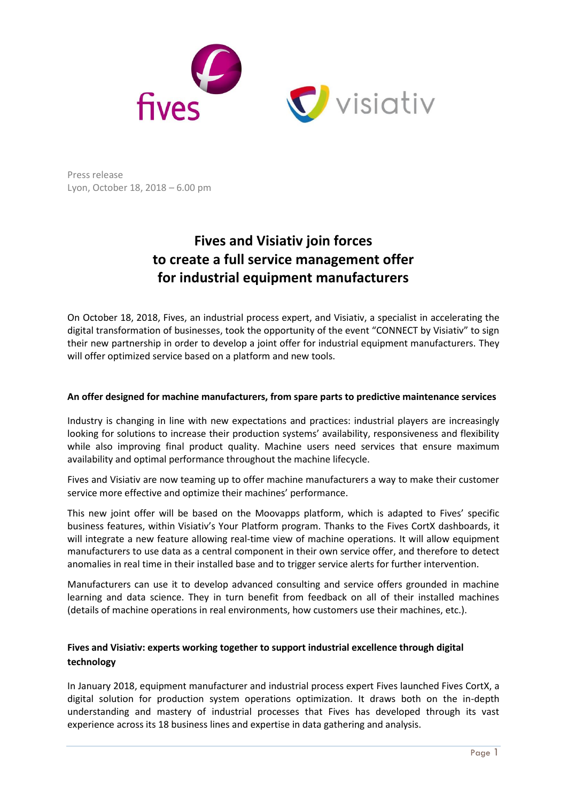

Press release Lyon, October 18, 2018 – 6.00 pm

# **Fives and Visiativ join forces to create a full service management offer for industrial equipment manufacturers**

On October 18, 2018, Fives, an industrial process expert, and Visiativ, a specialist in [accelerating the](https://www.visiativ.com/en-us/)  [digital transformation of businesses,](https://www.visiativ.com/en-us/) took the opportunity of the event "CONNECT by Visiativ" to sign their new partnership in order to develop a joint offer for industrial equipment manufacturers. They will offer optimized service based on a platform and new tools.

### **An offer designed for machine manufacturers, from spare parts to predictive maintenance services**

Industry is changing in line with new expectations and practices: industrial players are increasingly looking for solutions to increase their production systems' availability, responsiveness and flexibility while also improving final product quality. Machine users need services that ensure maximum availability and optimal performance throughout the machine lifecycle.

Fives and Visiativ are now teaming up to offer machine manufacturers a way to make their customer service more effective and optimize their machines' performance.

This new joint offer will be based on the Moovapps platform, which is adapted to Fives' specific business features, within Visiativ's Your Platform program. Thanks to the Fives CortX dashboards, it will integrate a new feature allowing real-time view of machine operations. It will allow equipment manufacturers to use data as a central component in their own service offer, and therefore to detect anomalies in real time in their installed base and to trigger service alerts for further intervention.

Manufacturers can use it to develop advanced consulting and service offers grounded in machine learning and data science. They in turn benefit from feedback on all of their installed machines (details of machine operations in real environments, how customers use their machines, etc.).

## **Fives and Visiativ: experts working together to support industrial excellence through digital technology**

In January 2018, equipment manufacturer and industrial process expert Fives launched Fives CortX, a digital solution for production system operations optimization. It draws both on the in-depth understanding and mastery of industrial processes that Fives has developed through its vast experience across its 18 business lines and expertise in data gathering and analysis.